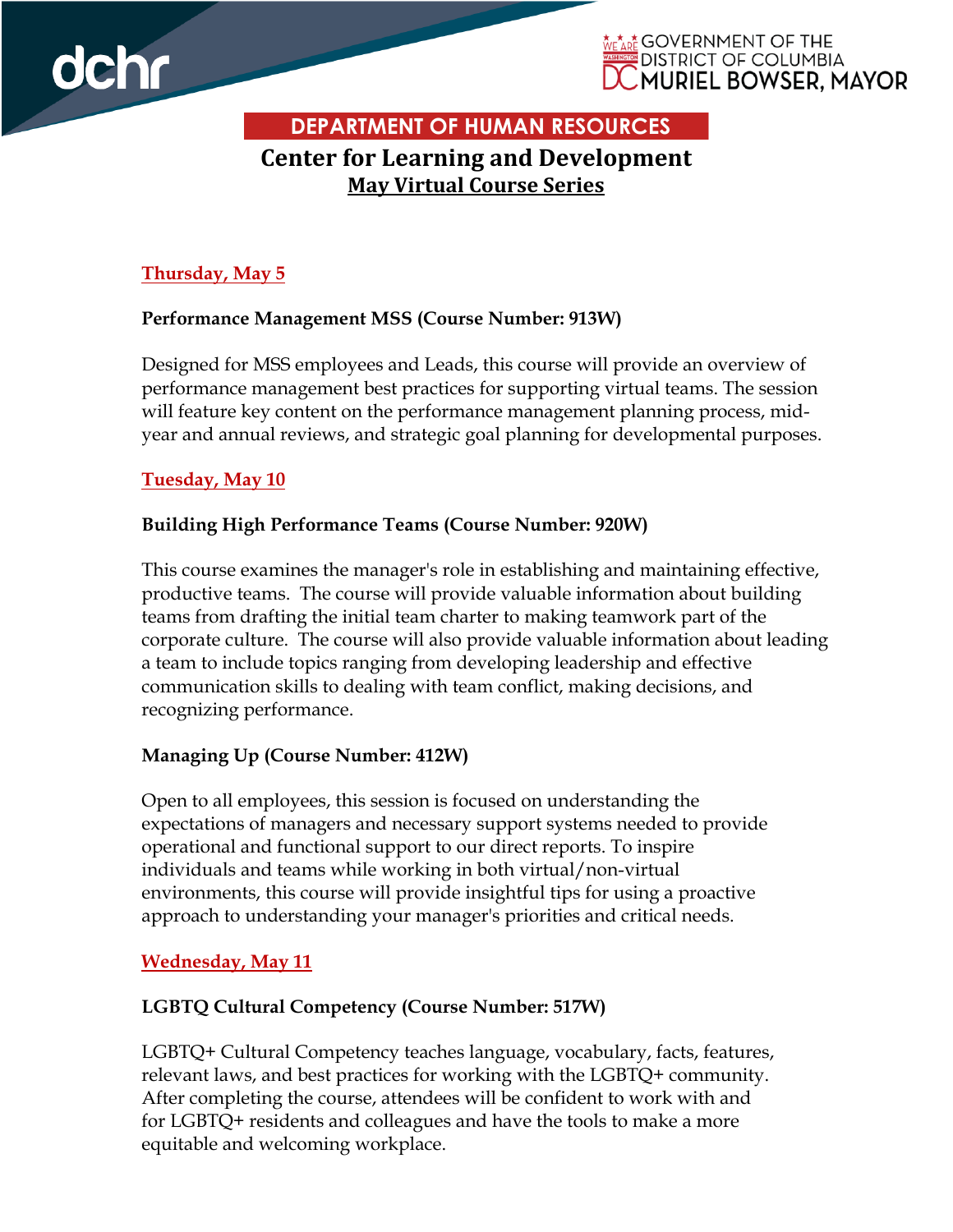



**DEPARTMENT OF HUMAN RESOURCES Center for Learning and Development May Virtual Course Series**

# **Thursday, May 5**

### **Performance Management MSS (Course Number: 913W)**

Designed for MSS employees and Leads, this course will provide an overview of performance management best practices for supporting virtual teams. The session will feature key content on the performance management planning process, midyear and annual reviews, and strategic goal planning for developmental purposes.

## **Tuesday, May 10**

## **Building High Performance Teams (Course Number: 920W)**

This course examines the manager's role in establishing and maintaining effective, productive teams. The course will provide valuable information about building teams from drafting the initial team charter to making teamwork part of the corporate culture. The course will also provide valuable information about leading a team to include topics ranging from developing leadership and effective communication skills to dealing with team conflict, making decisions, and recognizing performance.

## **Managing Up (Course Number: 412W)**

Open to all employees, this session is focused on understanding the expectations of managers and necessary support systems needed to provide operational and functional support to our direct reports. To inspire individuals and teams while working in both virtual/non-virtual environments, this course will provide insightful tips for using a proactive approach to understanding your manager's priorities and critical needs.

## **Wednesday, May 11**

## **LGBTQ Cultural Competency (Course Number: 517W)**

LGBTQ+ Cultural Competency teaches language, vocabulary, facts, features, relevant laws, and best practices for working with the LGBTQ+ community. After completing the course, attendees will be confident to work with and for LGBTQ+ residents and colleagues and have the tools to make a more equitable and welcoming workplace.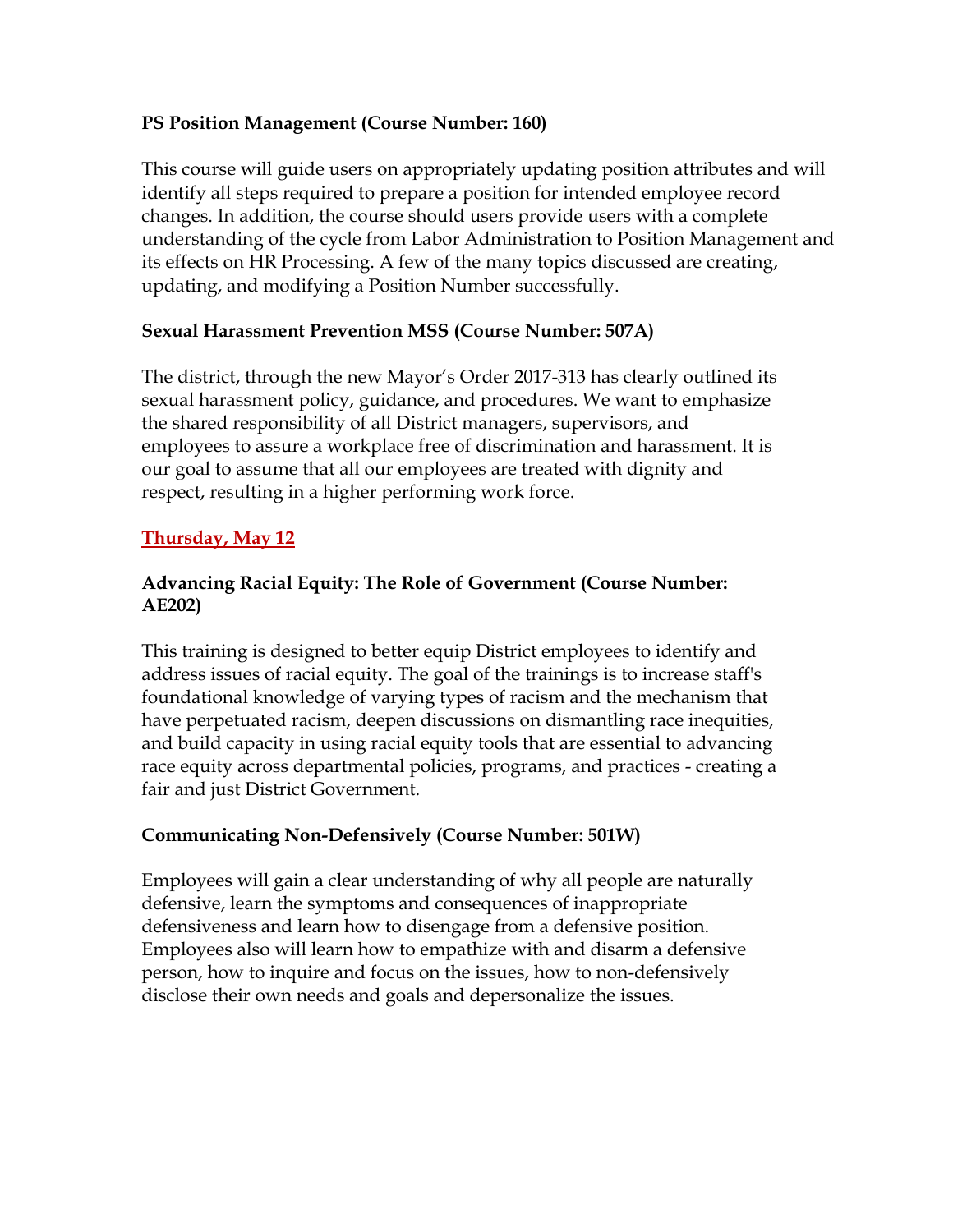### **PS Position Management (Course Number: 160)**

This course will guide users on appropriately updating position attributes and will identify all steps required to prepare a position for intended employee record changes. In addition, the course should users provide users with a complete understanding of the cycle from Labor Administration to Position Management and its effects on HR Processing. A few of the many topics discussed are creating, updating, and modifying a Position Number successfully.

## **Sexual Harassment Prevention MSS (Course Number: 507A)**

The district, through the new Mayor's Order 2017-313 has clearly outlined its sexual harassment policy, guidance, and procedures. We want to emphasize the shared responsibility of all District managers, supervisors, and employees to assure a workplace free of discrimination and harassment. It is our goal to assume that all our employees are treated with dignity and respect, resulting in a higher performing work force.

# **Thursday, May 12**

## **Advancing Racial Equity: The Role of Government (Course Number: AE202)**

This training is designed to better equip District employees to identify and address issues of racial equity. The goal of the trainings is to increase staff's foundational knowledge of varying types of racism and the mechanism that have perpetuated racism, deepen discussions on dismantling race inequities, and build capacity in using racial equity tools that are essential to advancing race equity across departmental policies, programs, and practices - creating a fair and just District Government.

## **Communicating Non-Defensively (Course Number: 501W)**

Employees will gain a clear understanding of why all people are naturally defensive, learn the symptoms and consequences of inappropriate defensiveness and learn how to disengage from a defensive position. Employees also will learn how to empathize with and disarm a defensive person, how to inquire and focus on the issues, how to non-defensively disclose their own needs and goals and depersonalize the issues.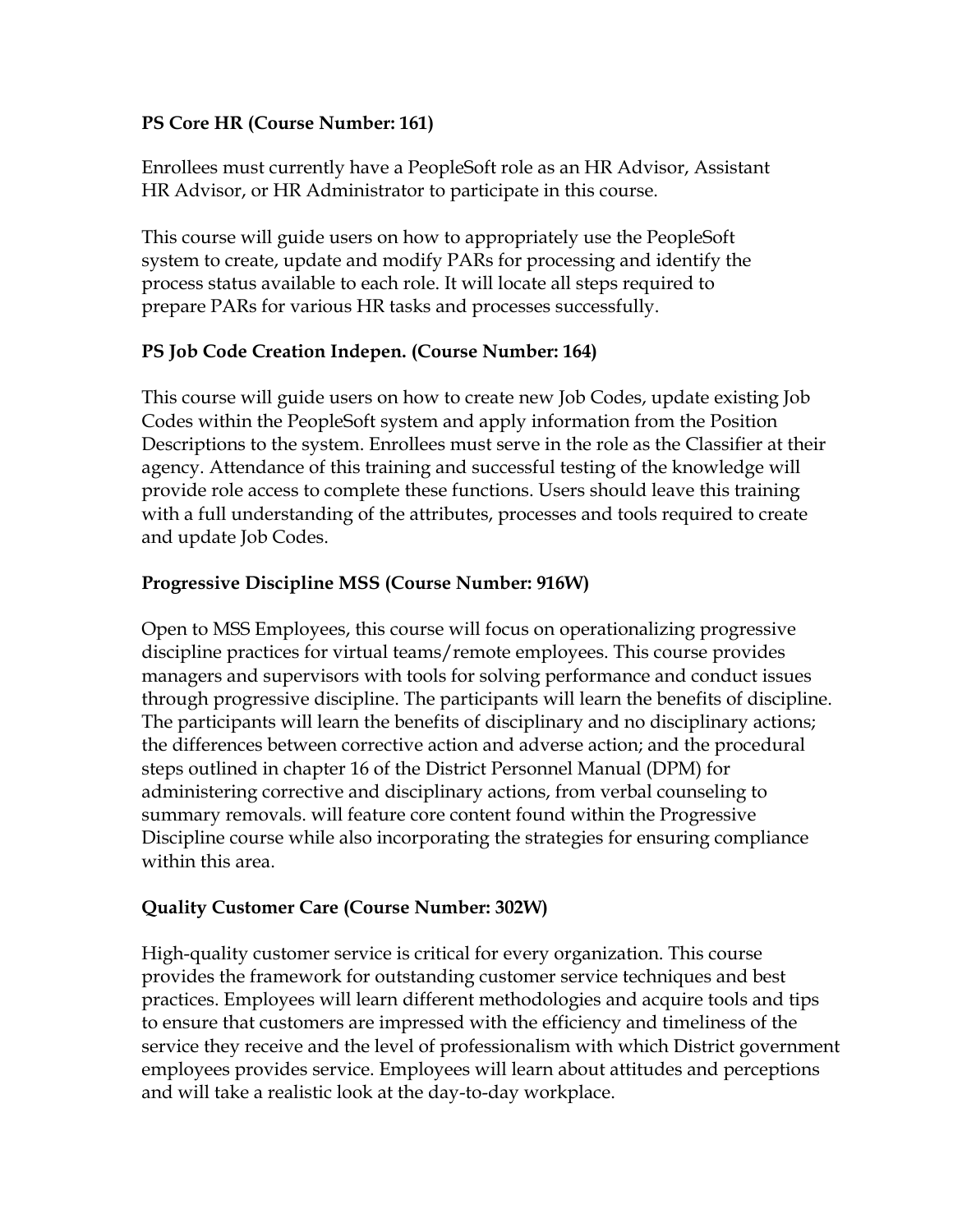## **PS Core HR (Course Number: 161)**

Enrollees must currently have a PeopleSoft role as an HR Advisor, Assistant HR Advisor, or HR Administrator to participate in this course.

This course will guide users on how to appropriately use the PeopleSoft system to create, update and modify PARs for processing and identify the process status available to each role. It will locate all steps required to prepare PARs for various HR tasks and processes successfully.

## **PS Job Code Creation Indepen. (Course Number: 164)**

This course will guide users on how to create new Job Codes, update existing Job Codes within the PeopleSoft system and apply information from the Position Descriptions to the system. Enrollees must serve in the role as the Classifier at their agency. Attendance of this training and successful testing of the knowledge will provide role access to complete these functions. Users should leave this training with a full understanding of the attributes, processes and tools required to create and update Job Codes.

# **Progressive Discipline MSS (Course Number: 916W)**

Open to MSS Employees, this course will focus on operationalizing progressive discipline practices for virtual teams/remote employees. This course provides managers and supervisors with tools for solving performance and conduct issues through progressive discipline. The participants will learn the benefits of discipline. The participants will learn the benefits of disciplinary and no disciplinary actions; the differences between corrective action and adverse action; and the procedural steps outlined in chapter 16 of the District Personnel Manual (DPM) for administering corrective and disciplinary actions, from verbal counseling to summary removals. will feature core content found within the Progressive Discipline course while also incorporating the strategies for ensuring compliance within this area.

## **Quality Customer Care (Course Number: 302W)**

High-quality customer service is critical for every organization. This course provides the framework for outstanding customer service techniques and best practices. Employees will learn different methodologies and acquire tools and tips to ensure that customers are impressed with the efficiency and timeliness of the service they receive and the level of professionalism with which District government employees provides service. Employees will learn about attitudes and perceptions and will take a realistic look at the day-to-day workplace.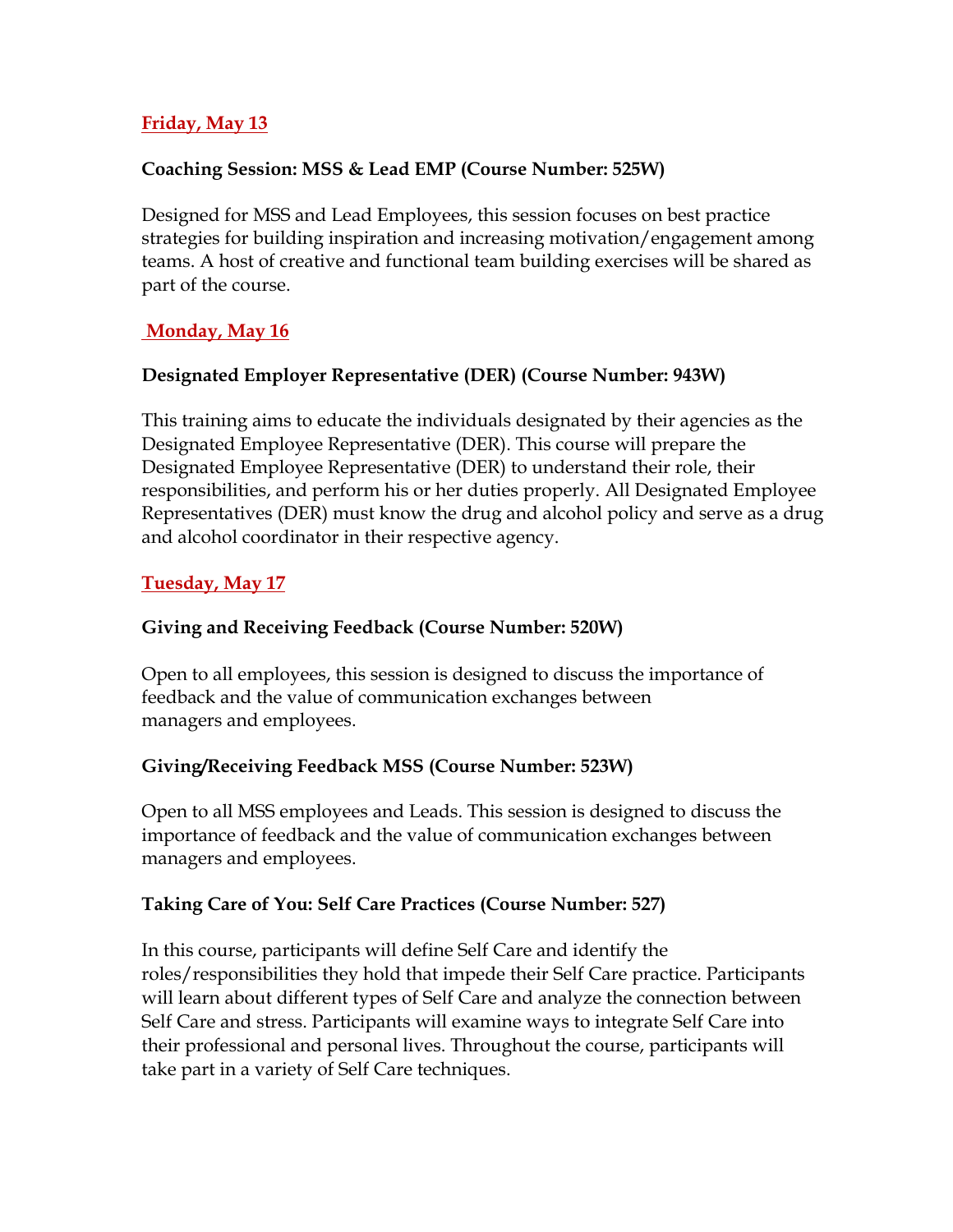## **Friday, May 13**

#### **Coaching Session: MSS & Lead EMP (Course Number: 525W)**

Designed for MSS and Lead Employees, this session focuses on best practice strategies for building inspiration and increasing motivation/engagement among teams. A host of creative and functional team building exercises will be shared as part of the course.

## **Monday, May 16**

## **Designated Employer Representative (DER) (Course Number: 943W)**

This training aims to educate the individuals designated by their agencies as the Designated Employee Representative (DER). This course will prepare the Designated Employee Representative (DER) to understand their role, their responsibilities, and perform his or her duties properly. All Designated Employee Representatives (DER) must know the drug and alcohol policy and serve as a drug and alcohol coordinator in their respective agency.

### **Tuesday, May 17**

### **Giving and Receiving Feedback (Course Number: 520W)**

Open to all employees, this session is designed to discuss the importance of feedback and the value of communication exchanges between managers and employees.

## **Giving/Receiving Feedback MSS (Course Number: 523W)**

Open to all MSS employees and Leads. This session is designed to discuss the importance of feedback and the value of communication exchanges between managers and employees.

#### **Taking Care of You: Self Care Practices (Course Number: 527)**

In this course, participants will define Self Care and identify the roles/responsibilities they hold that impede their Self Care practice. Participants will learn about different types of Self Care and analyze the connection between Self Care and stress. Participants will examine ways to integrate Self Care into their professional and personal lives. Throughout the course, participants will take part in a variety of Self Care techniques.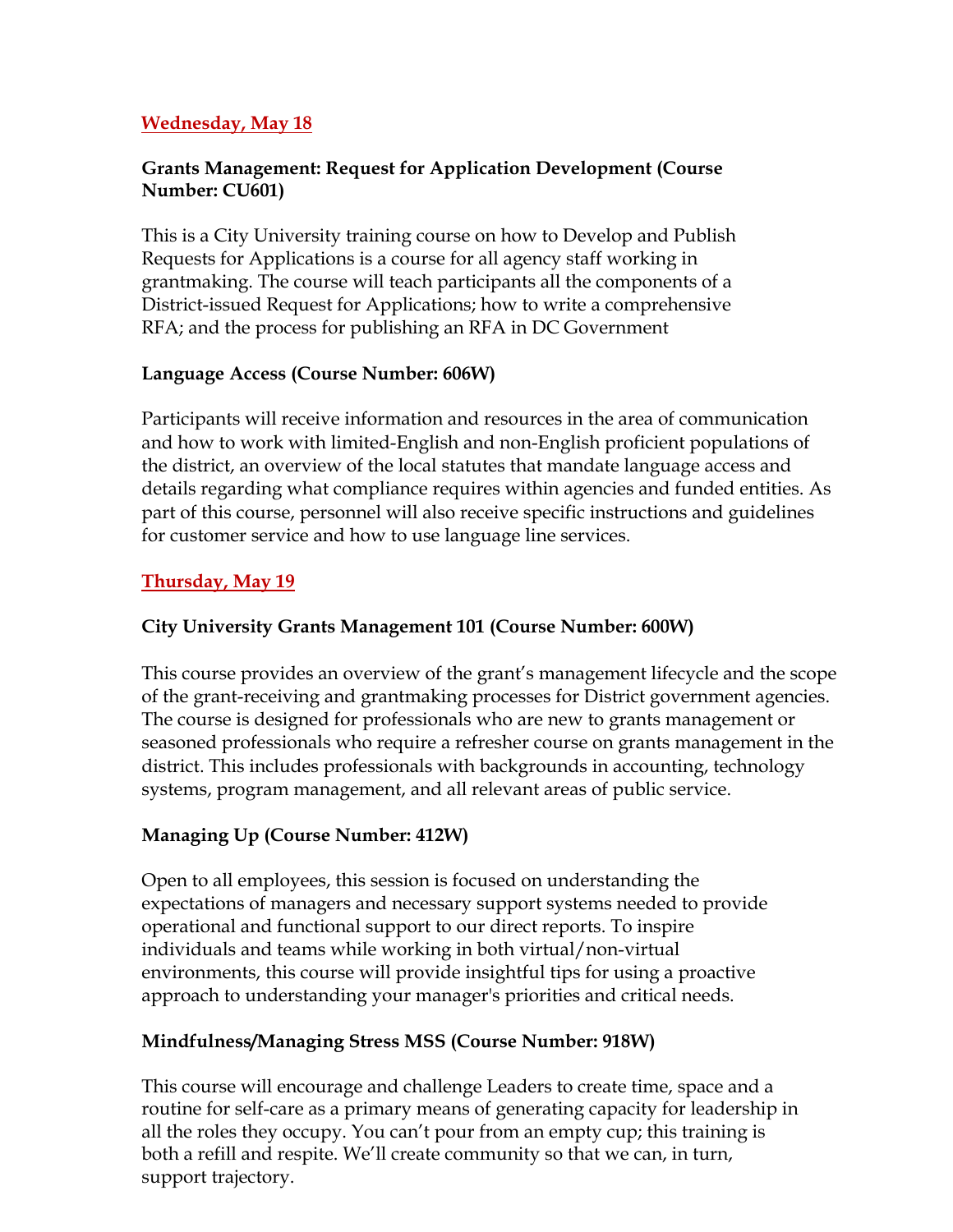## **Wednesday, May 18**

### **Grants Management: Request for Application Development (Course Number: CU601)**

This is a City University training course on how to Develop and Publish Requests for Applications is a course for all agency staff working in grantmaking. The course will teach participants all the components of a District-issued Request for Applications; how to write a comprehensive RFA; and the process for publishing an RFA in DC Government

## **Language Access (Course Number: 606W)**

Participants will receive information and resources in the area of communication and how to work with limited-English and non-English proficient populations of the district, an overview of the local statutes that mandate language access and details regarding what compliance requires within agencies and funded entities. As part of this course, personnel will also receive specific instructions and guidelines for customer service and how to use language line services.

## **Thursday, May 19**

## **City University Grants Management 101 (Course Number: 600W)**

This course provides an overview of the grant's management lifecycle and the scope of the grant-receiving and grantmaking processes for District government agencies. The course is designed for professionals who are new to grants management or seasoned professionals who require a refresher course on grants management in the district. This includes professionals with backgrounds in accounting, technology systems, program management, and all relevant areas of public service.

# **Managing Up (Course Number: 412W)**

Open to all employees, this session is focused on understanding the expectations of managers and necessary support systems needed to provide operational and functional support to our direct reports. To inspire individuals and teams while working in both virtual/non-virtual environments, this course will provide insightful tips for using a proactive approach to understanding your manager's priorities and critical needs.

## **Mindfulness/Managing Stress MSS (Course Number: 918W)**

This course will encourage and challenge Leaders to create time, space and a routine for self-care as a primary means of generating capacity for leadership in all the roles they occupy. You can't pour from an empty cup; this training is both a refill and respite. We'll create community so that we can, in turn, support trajectory.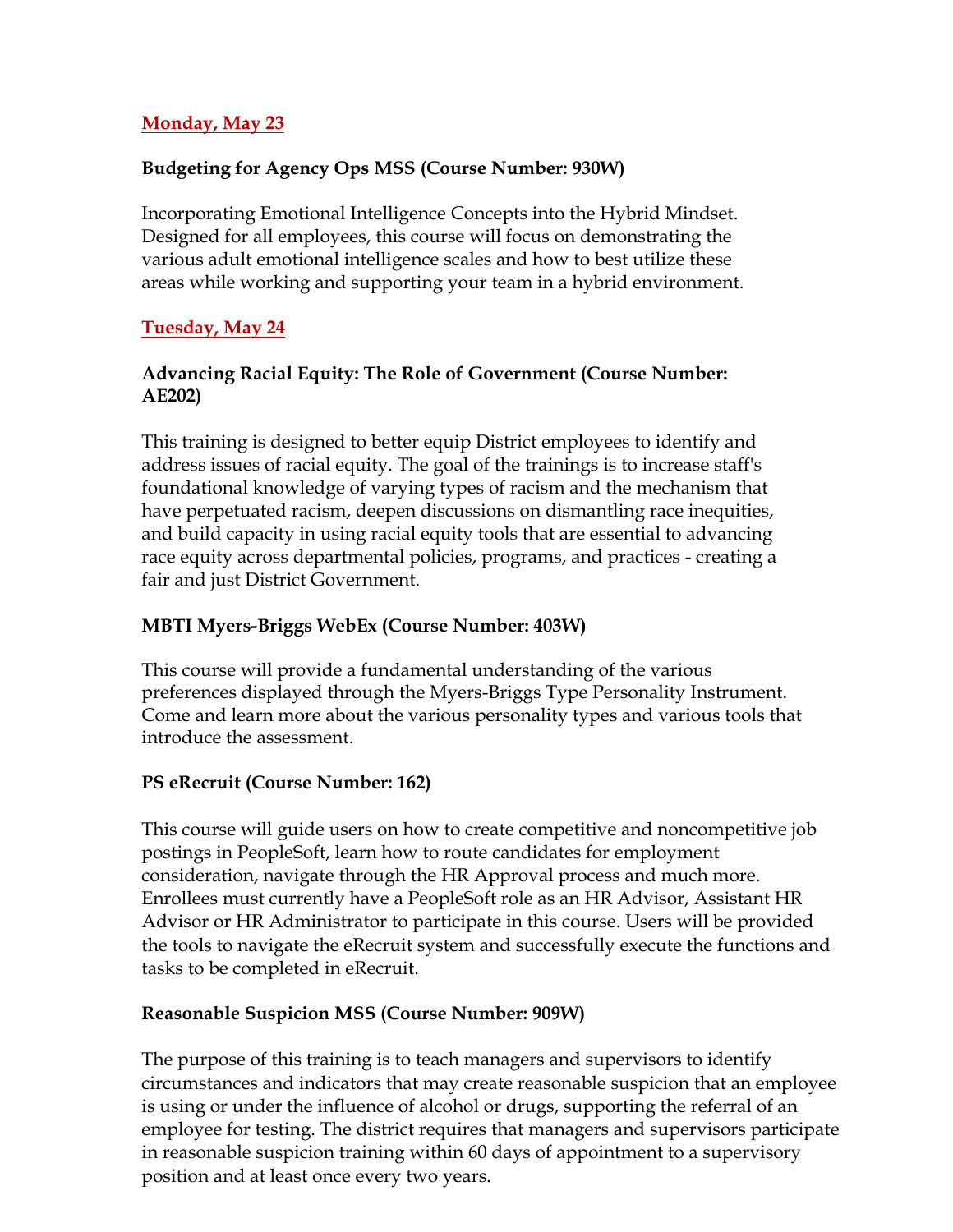#### **Monday, May 23**

### **Budgeting for Agency Ops MSS (Course Number: 930W)**

Incorporating Emotional Intelligence Concepts into the Hybrid Mindset. Designed for all employees, this course will focus on demonstrating the various adult emotional intelligence scales and how to best utilize these areas while working and supporting your team in a hybrid environment.

### **Tuesday, May 24**

### **Advancing Racial Equity: The Role of Government (Course Number: AE202)**

This training is designed to better equip District employees to identify and address issues of racial equity. The goal of the trainings is to increase staff's foundational knowledge of varying types of racism and the mechanism that have perpetuated racism, deepen discussions on dismantling race inequities, and build capacity in using racial equity tools that are essential to advancing race equity across departmental policies, programs, and practices - creating a fair and just District Government.

## **MBTI Myers-Briggs WebEx (Course Number: 403W)**

This course will provide a fundamental understanding of the various preferences displayed through the Myers-Briggs Type Personality Instrument. Come and learn more about the various personality types and various tools that introduce the assessment.

## **PS eRecruit (Course Number: 162)**

This course will guide users on how to create competitive and noncompetitive job postings in PeopleSoft, learn how to route candidates for employment consideration, navigate through the HR Approval process and much more. Enrollees must currently have a PeopleSoft role as an HR Advisor, Assistant HR Advisor or HR Administrator to participate in this course. Users will be provided the tools to navigate the eRecruit system and successfully execute the functions and tasks to be completed in eRecruit.

## **Reasonable Suspicion MSS (Course Number: 909W)**

The purpose of this training is to teach managers and supervisors to identify circumstances and indicators that may create reasonable suspicion that an employee is using or under the influence of alcohol or drugs, supporting the referral of an employee for testing. The district requires that managers and supervisors participate in reasonable suspicion training within 60 days of appointment to a supervisory position and at least once every two years.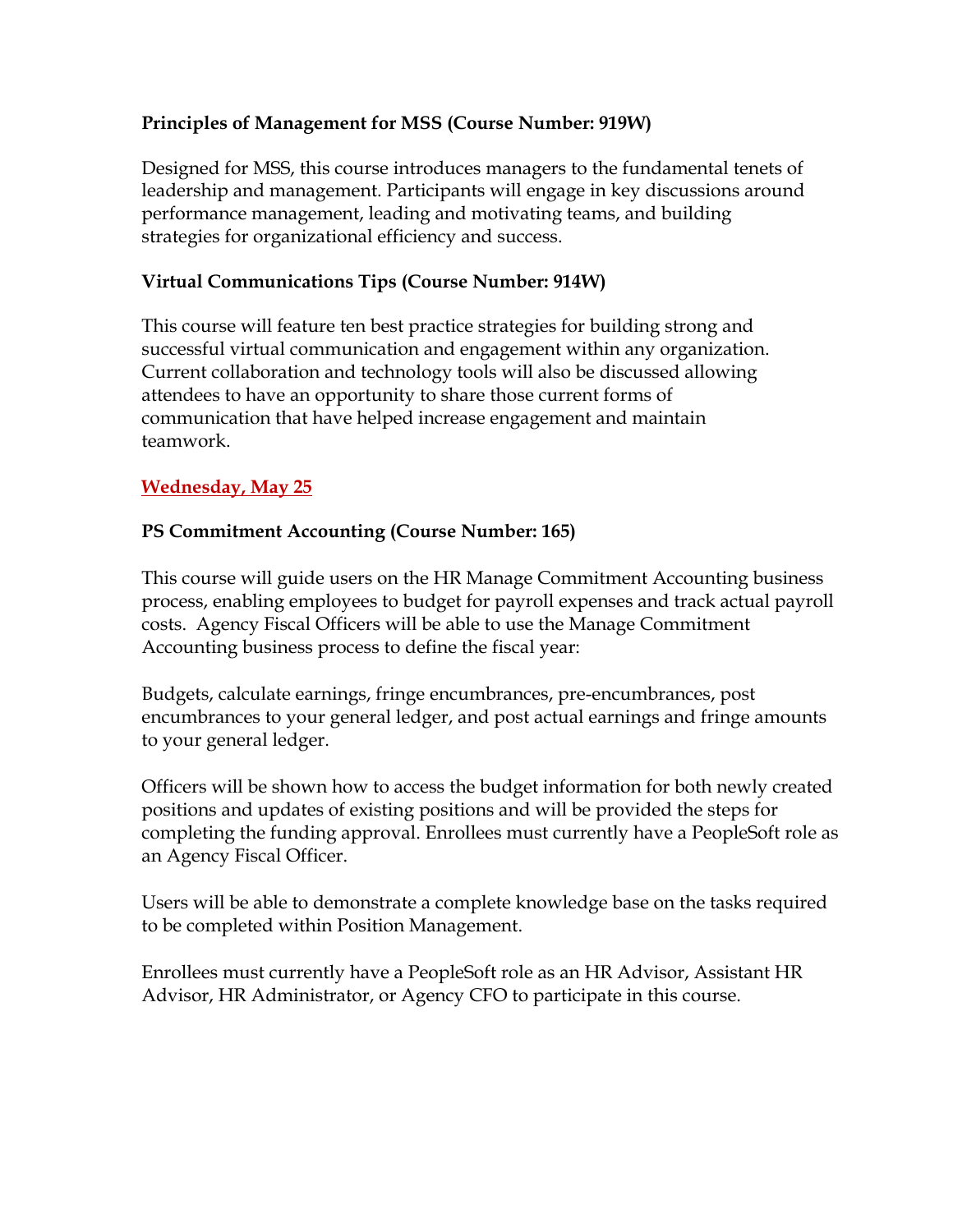# **Principles of Management for MSS (Course Number: 919W)**

Designed for MSS, this course introduces managers to the fundamental tenets of leadership and management. Participants will engage in key discussions around performance management, leading and motivating teams, and building strategies for organizational efficiency and success.

# **Virtual Communications Tips (Course Number: 914W)**

This course will feature ten best practice strategies for building strong and successful virtual communication and engagement within any organization. Current collaboration and technology tools will also be discussed allowing attendees to have an opportunity to share those current forms of communication that have helped increase engagement and maintain teamwork.

## **Wednesday, May 25**

# **PS Commitment Accounting (Course Number: 165)**

This course will guide users on the HR Manage Commitment Accounting business process, enabling employees to budget for payroll expenses and track actual payroll costs. Agency Fiscal Officers will be able to use the Manage Commitment Accounting business process to define the fiscal year:

Budgets, calculate earnings, fringe encumbrances, pre-encumbrances, post encumbrances to your general ledger, and post actual earnings and fringe amounts to your general ledger.

Officers will be shown how to access the budget information for both newly created positions and updates of existing positions and will be provided the steps for completing the funding approval. Enrollees must currently have a PeopleSoft role as an Agency Fiscal Officer.

Users will be able to demonstrate a complete knowledge base on the tasks required to be completed within Position Management.

Enrollees must currently have a PeopleSoft role as an HR Advisor, Assistant HR Advisor, HR Administrator, or Agency CFO to participate in this course.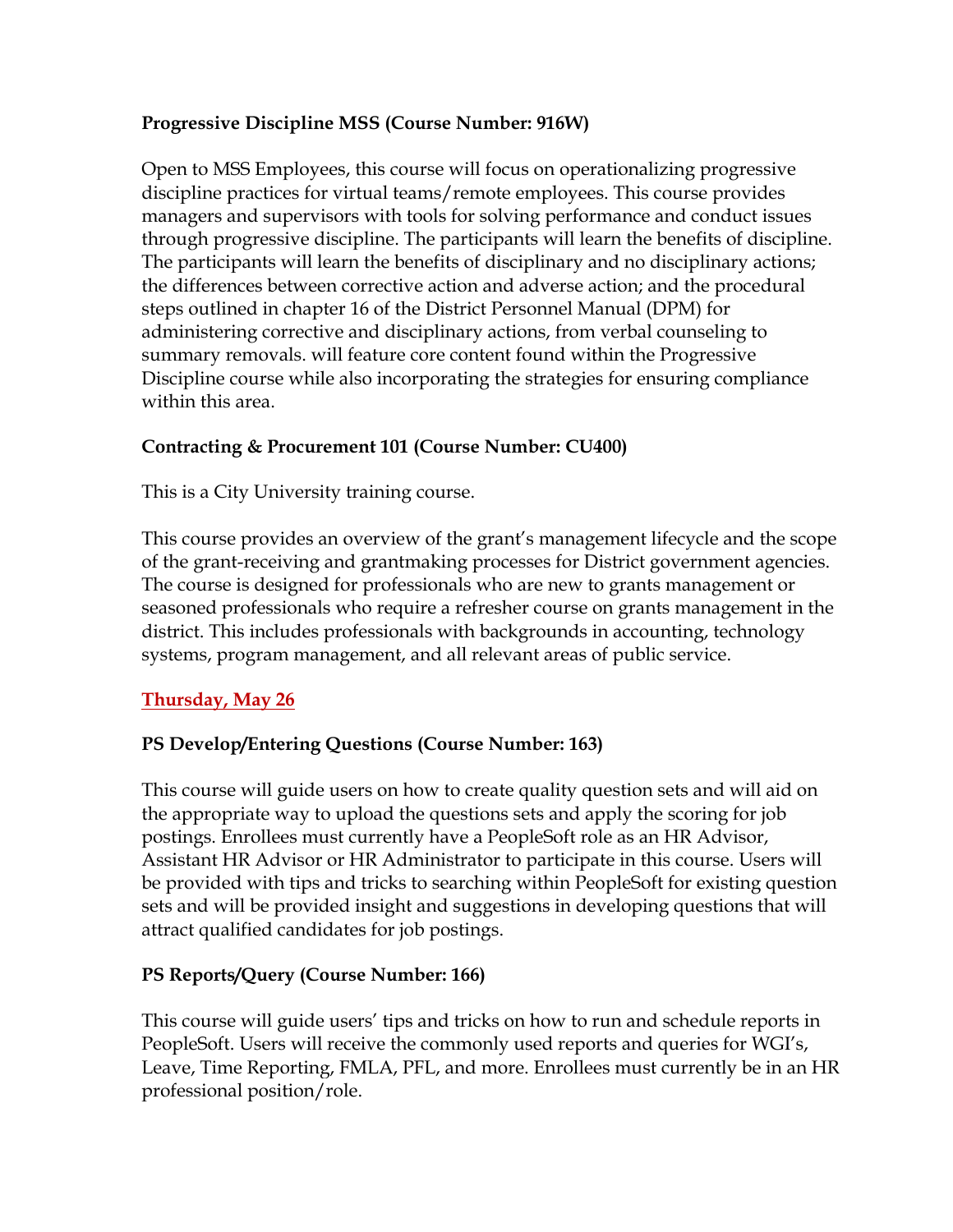# **Progressive Discipline MSS (Course Number: 916W)**

Open to MSS Employees, this course will focus on operationalizing progressive discipline practices for virtual teams/remote employees. This course provides managers and supervisors with tools for solving performance and conduct issues through progressive discipline. The participants will learn the benefits of discipline. The participants will learn the benefits of disciplinary and no disciplinary actions; the differences between corrective action and adverse action; and the procedural steps outlined in chapter 16 of the District Personnel Manual (DPM) for administering corrective and disciplinary actions, from verbal counseling to summary removals. will feature core content found within the Progressive Discipline course while also incorporating the strategies for ensuring compliance within this area.

# **Contracting & Procurement 101 (Course Number: CU400)**

This is a City University training course.

This course provides an overview of the grant's management lifecycle and the scope of the grant-receiving and grantmaking processes for District government agencies. The course is designed for professionals who are new to grants management or seasoned professionals who require a refresher course on grants management in the district. This includes professionals with backgrounds in accounting, technology systems, program management, and all relevant areas of public service.

## **Thursday, May 26**

# **PS Develop/Entering Questions (Course Number: 163)**

This course will guide users on how to create quality question sets and will aid on the appropriate way to upload the questions sets and apply the scoring for job postings. Enrollees must currently have a PeopleSoft role as an HR Advisor, Assistant HR Advisor or HR Administrator to participate in this course. Users will be provided with tips and tricks to searching within PeopleSoft for existing question sets and will be provided insight and suggestions in developing questions that will attract qualified candidates for job postings.

## **PS Reports/Query (Course Number: 166)**

This course will guide users' tips and tricks on how to run and schedule reports in PeopleSoft. Users will receive the commonly used reports and queries for WGI's, Leave, Time Reporting, FMLA, PFL, and more. Enrollees must currently be in an HR professional position/role.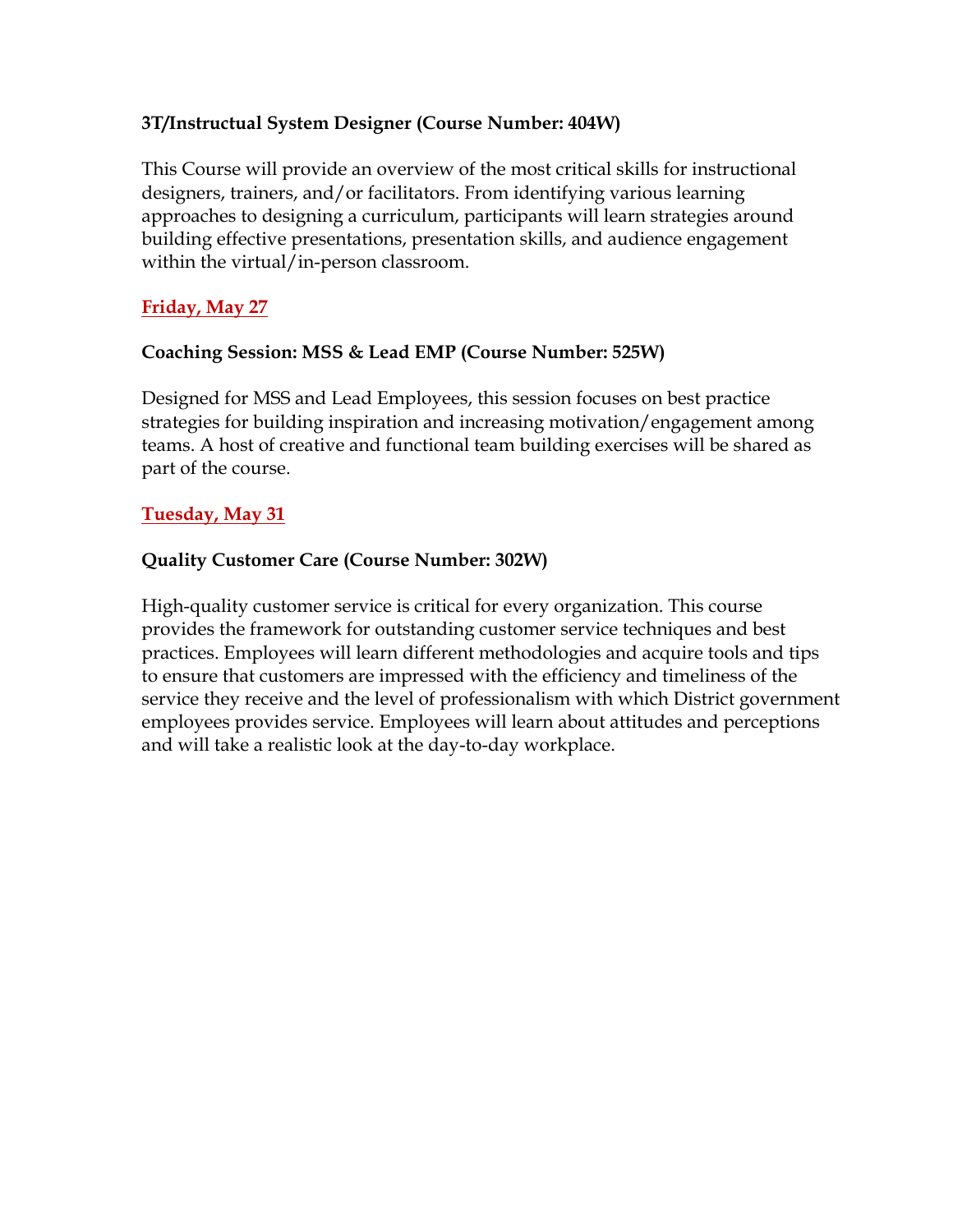## **3T/Instructual System Designer (Course Number: 404W)**

This Course will provide an overview of the most critical skills for instructional designers, trainers, and/or facilitators. From identifying various learning approaches to designing a curriculum, participants will learn strategies around building effective presentations, presentation skills, and audience engagement within the virtual/in-person classroom.

# **Friday, May 27**

## **Coaching Session: MSS & Lead EMP (Course Number: 525W)**

Designed for MSS and Lead Employees, this session focuses on best practice strategies for building inspiration and increasing motivation/engagement among teams. A host of creative and functional team building exercises will be shared as part of the course.

# **Tuesday, May 31**

# **Quality Customer Care (Course Number: 302W)**

High-quality customer service is critical for every organization. This course provides the framework for outstanding customer service techniques and best practices. Employees will learn different methodologies and acquire tools and tips to ensure that customers are impressed with the efficiency and timeliness of the service they receive and the level of professionalism with which District government employees provides service. Employees will learn about attitudes and perceptions and will take a realistic look at the day-to-day workplace.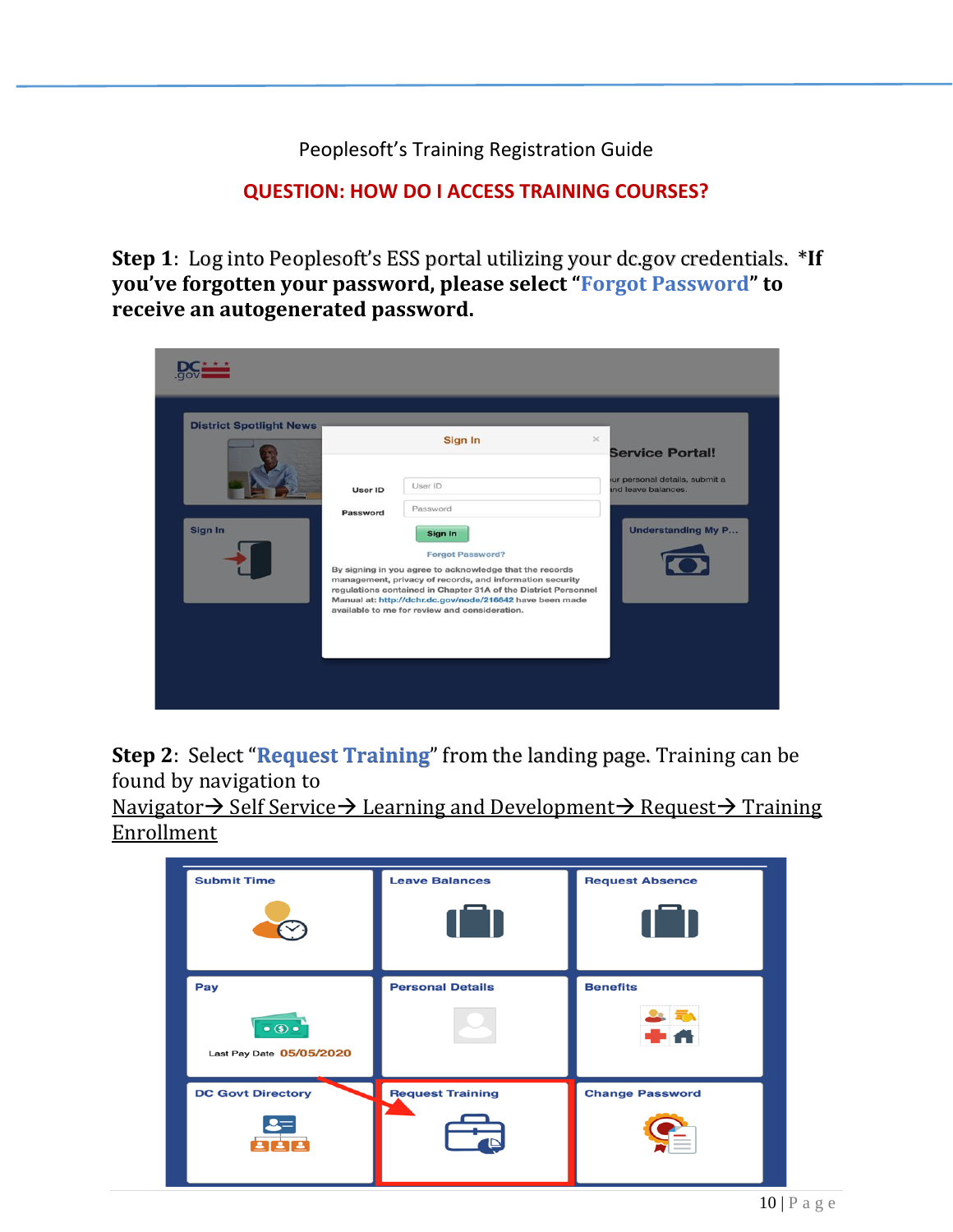Peoplesoft's Training Registration Guide

# **QUESTION: HOW DO I ACCESS TRAINING COURSES?**

**Step 1**: Log into Peoplesoft's ESS portal utilizing your dc.gov credentials. \***If you've forgotten your password, please select "Forgot Password" to receive an autogenerated password.**

| <b>District Spotlight News</b> |          | Sign In                                                                                                                                                                                                                                                                                            | $\!\times\!$<br><b>Service Portal!</b>               |
|--------------------------------|----------|----------------------------------------------------------------------------------------------------------------------------------------------------------------------------------------------------------------------------------------------------------------------------------------------------|------------------------------------------------------|
|                                | User ID  | User ID<br>Password                                                                                                                                                                                                                                                                                | ur personal details, submit a<br>ind leave balances. |
| Sign In                        | Password | Sign In<br><b>Forgot Password?</b>                                                                                                                                                                                                                                                                 | <b>Understanding My P</b>                            |
|                                |          | By signing in you agree to acknowledge that the records<br>management, privacy of records, and information security<br>regulations contained in Chapter 31A of the District Personnel<br>Manual at: http://dchr.dc.gov/node/216642 have been made<br>available to me for review and consideration. |                                                      |

**Step 2**: Select "**Request Training**" from the landing page. Training can be found by navigation to

Navigator → Self Service → Learning and Development → Request → Training Enrollment